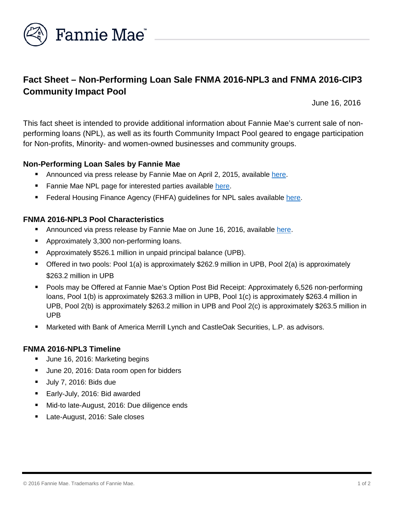

# **Fact Sheet – Non-Performing Loan Sale FNMA 2016-NPL3 and FNMA 2016-CIP3 Community Impact Pool**

June 16, 2016

This fact sheet is intended to provide additional information about Fannie Mae's current sale of nonperforming loans (NPL), as well as its fourth Community Impact Pool geared to engage participation for Non-profits, Minority- and women-owned businesses and community groups.

## **Non-Performing Loan Sales by Fannie Mae**

- **Announced via press release by Fannie Mae on April 2, 2015, available [here.](http://www.fanniemae.com/portal/about-us/media/financial-news/2015/6233.html)**
- Fannie Mae NPL page for interested parties available [here.](http://www.fanniemae.com/portal/funding-the-market/npl/index.html)
- **Federal Housing Finance Agency (FHFA) guidelines for NPL sales available [here.](http://www.fhfa.gov/Media/PublicAffairs/Pages/Non-Performing-Loan-%28NPL%29-Sale-Requirements.aspx)**

### **FNMA 2016-NPL3 Pool Characteristics**

- Announced via press release by Fannie Mae on June 16, 2016, available [here.](http://www.fanniemae.com/portal/about-us/media/financial-news/2016/6401.html)
- **Approximately 3,300 non-performing loans.**
- Approximately \$526.1 million in unpaid principal balance (UPB).
- Offered in two pools: Pool 1(a) is approximately \$262.9 million in UPB, Pool 2(a) is approximately \$263.2 million in UPB
- Pools may be Offered at Fannie Mae's Option Post Bid Receipt: Approximately 6,526 non-performing loans, Pool 1(b) is approximately \$263.3 million in UPB, Pool 1(c) is approximately \$263.4 million in UPB, Pool 2(b) is approximately \$263.2 million in UPB and Pool 2(c) is approximately \$263.5 million in UPB
- Marketed with Bank of America Merrill Lynch and CastleOak Securities, L.P. as advisors.

#### **FNMA 2016-NPL3 Timeline**

- Uune 16, 2016: Marketing begins
- June 20, 2016: Data room open for bidders
- July 7, 2016: Bids due
- Early-July, 2016: Bid awarded
- Mid-to late-August, 2016: Due diligence ends
- Late-August, 2016: Sale closes